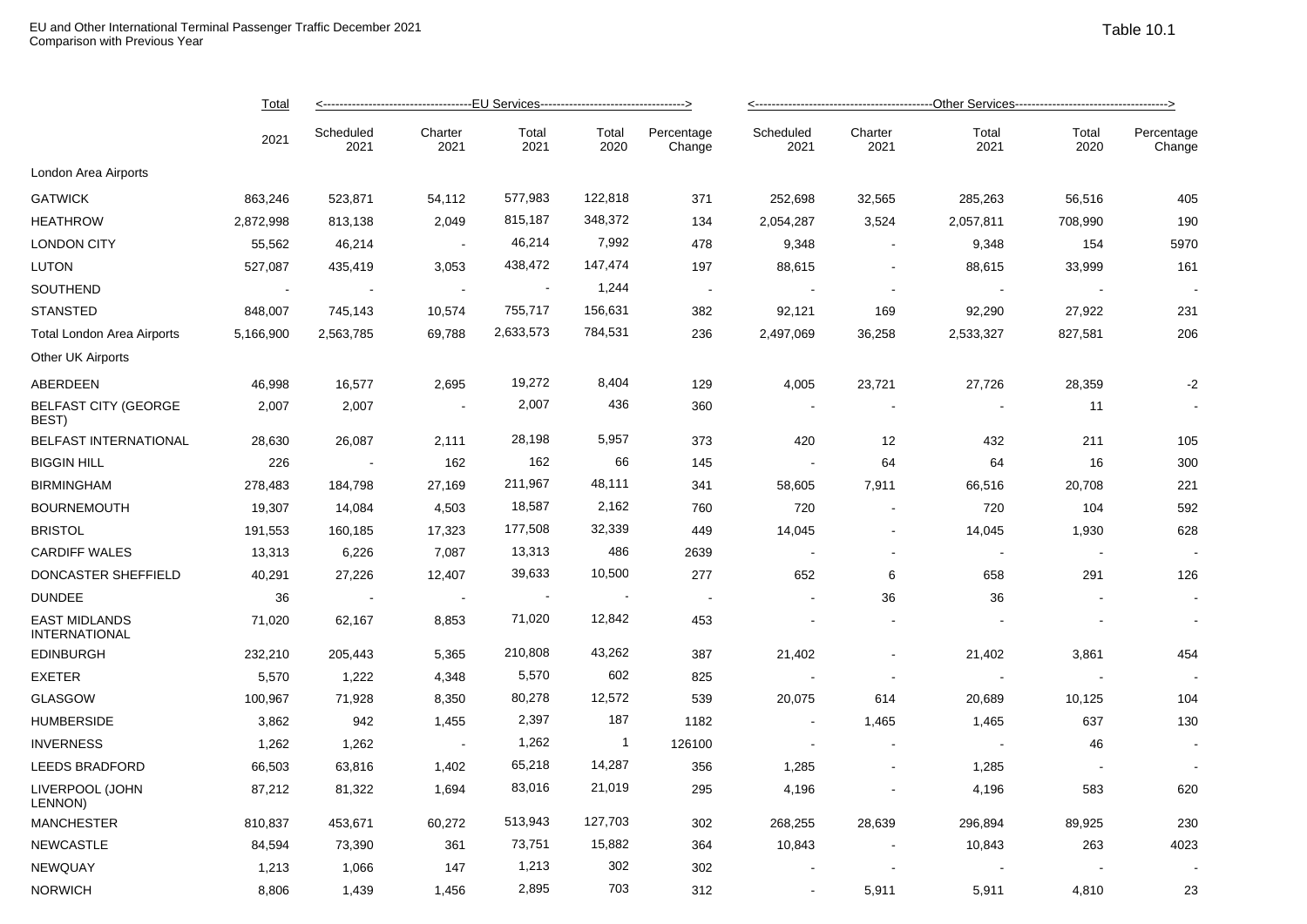|                                       | <b>Total</b><br>2021 |                   |                 |               |                |                      |                   |                 |               |               |                      |  |
|---------------------------------------|----------------------|-------------------|-----------------|---------------|----------------|----------------------|-------------------|-----------------|---------------|---------------|----------------------|--|
|                                       |                      | Scheduled<br>2021 | Charter<br>2021 | Total<br>2021 | Total<br>2020  | Percentage<br>Change | Scheduled<br>2021 | Charter<br>2021 | Total<br>2021 | Total<br>2020 | Percentage<br>Change |  |
| London Area Airports                  |                      |                   |                 |               |                |                      |                   |                 |               |               |                      |  |
| <b>GATWICK</b>                        | 863,246              | 523,871           | 54,112          | 577,983       | 122,818        | 371                  | 252,698           | 32,565          | 285,263       | 56,516        | 405                  |  |
| HEATHROW                              | 2,872,998            | 813,138           | 2,049           | 815,187       | 348,372        | 134                  | 2,054,287         | 3,524           | 2,057,811     | 708,990       | 190                  |  |
| <b>LONDON CITY</b>                    | 55,562               | 46,214            |                 | 46,214        | 7,992          | 478                  | 9,348             |                 | 9,348         | 154           | 5970                 |  |
| LUTON                                 | 527,087              | 435,419           | 3,053           | 438,472       | 147,474        | 197                  | 88,615            | $\sim$          | 88,615        | 33,999        | 161                  |  |
| SOUTHEND                              | $\sim$               |                   | $\sim$          |               | 1,244          | $\sim 100$           |                   | $\sim$          |               |               |                      |  |
| STANSTED                              | 848,007              | 745,143           | 10,574          | 755,717       | 156,631        | 382                  | 92,121            | 169             | 92,290        | 27,922        | 231                  |  |
| Total London Area Airports            | 5,166,900            | 2,563,785         | 69,788          | 2,633,573     | 784,531        | 236                  | 2,497,069         | 36,258          | 2,533,327     | 827,581       | 206                  |  |
| Other UK Airports                     |                      |                   |                 |               |                |                      |                   |                 |               |               |                      |  |
| ABERDEEN                              | 46,998               | 16,577            | 2,695           | 19,272        | 8,404          | 129                  | 4,005             | 23,721          | 27,726        | 28,359        | $-2$                 |  |
| <b>BELFAST CITY (GEORGE</b><br>BEST)  | 2,007                | 2,007             | $\sim$          | 2,007         | 436            | 360                  | $\sim$ $-$        |                 |               | 11            |                      |  |
| <b>BELFAST INTERNATIONAL</b>          | 28,630               | 26,087            | 2,111           | 28,198        | 5,957          | 373                  | 420               | 12              | 432           | 211           | 105                  |  |
| <b>BIGGIN HILL</b>                    | 226                  |                   | 162             | 162           | 66             | 145                  |                   | 64              | 64            | 16            | 300                  |  |
| BIRMINGHAM                            | 278,483              | 184,798           | 27,169          | 211,967       | 48,111         | 341                  | 58,605            | 7,911           | 66,516        | 20,708        | 221                  |  |
| <b>BOURNEMOUTH</b>                    | 19,307               | 14,084            | 4,503           | 18,587        | 2,162          | 760                  | 720               | $\sim$          | 720           | 104           | 592                  |  |
| <b>BRISTOL</b>                        | 191,553              | 160,185           | 17,323          | 177,508       | 32,339         | 449                  | 14,045            |                 | 14,045        | 1,930         | 628                  |  |
| <b>CARDIFF WALES</b>                  | 13,313               | 6,226             | 7,087           | 13,313        | 486            | 2639                 | $\sim$ $\pm$      | $\sim$          |               |               |                      |  |
| DONCASTER SHEFFIELD                   | 40,291               | 27,226            | 12,407          | 39,633        | 10,500         | 277                  | 652               | 6               | 658           | 291           | 126                  |  |
| <b>DUNDEE</b>                         | 36                   |                   | $\sim$ $-$      |               |                | $\sim$               |                   | 36              | 36            |               |                      |  |
| <b>EAST MIDLANDS</b><br>INTERNATIONAL | 71,020               | 62,167            | 8,853           | 71,020        | 12,842         | 453                  | $\sim$            |                 |               |               |                      |  |
| <b>EDINBURGH</b>                      | 232,210              | 205,443           | 5,365           | 210,808       | 43,262         | 387                  | 21,402            |                 | 21,402        | 3,861         | 454                  |  |
| EXETER                                | 5,570                | 1,222             | 4,348           | 5,570         | 602            | 825                  |                   |                 |               |               |                      |  |
| GLASGOW                               | 100,967              | 71,928            | 8,350           | 80,278        | 12,572         | 539                  | 20,075            | 614             | 20,689        | 10,125        | 104                  |  |
| <b>HUMBERSIDE</b>                     | 3,862                | 942               | 1,455           | 2,397         | 187            | 1182                 | $\sim$            | 1,465           | 1,465         | 637           | 130                  |  |
| <b>INVERNESS</b>                      | 1,262                | 1,262             | $\sim 100$      | 1,262         | $\overline{1}$ | 126100               | $\sim$            | $\sim$          |               | 46            |                      |  |
| <b>LEEDS BRADFORD</b>                 | 66,503               | 63,816            | 1,402           | 65,218        | 14,287         | 356                  | 1,285             | $\blacksquare$  | 1,285         |               |                      |  |
| LIVERPOOL (JOHN<br>LENNON)            | 87,212               | 81,322            | 1,694           | 83,016        | 21,019         | 295                  | 4,196             | $\blacksquare$  | 4,196         | 583           | 620                  |  |
| MANCHESTER                            | 810,837              | 453,671           | 60,272          | 513,943       | 127,703        | 302                  | 268,255           | 28,639          | 296,894       | 89,925        | 230                  |  |
| NEWCASTLE                             | 84,594               | 73,390            | 361             | 73,751        | 15,882         | 364                  | 10,843            |                 | 10,843        | 263           | 4023                 |  |
| NEWQUAY                               | 1,213                | 1,066             | 147             | 1,213         | 302            | 302                  |                   |                 |               |               |                      |  |
| NORWICH                               | 8,806                | 1,439             | 1,456           | 2,895         | 703            | 312                  |                   | 5,911           | 5,911         | 4,810         | 23                   |  |